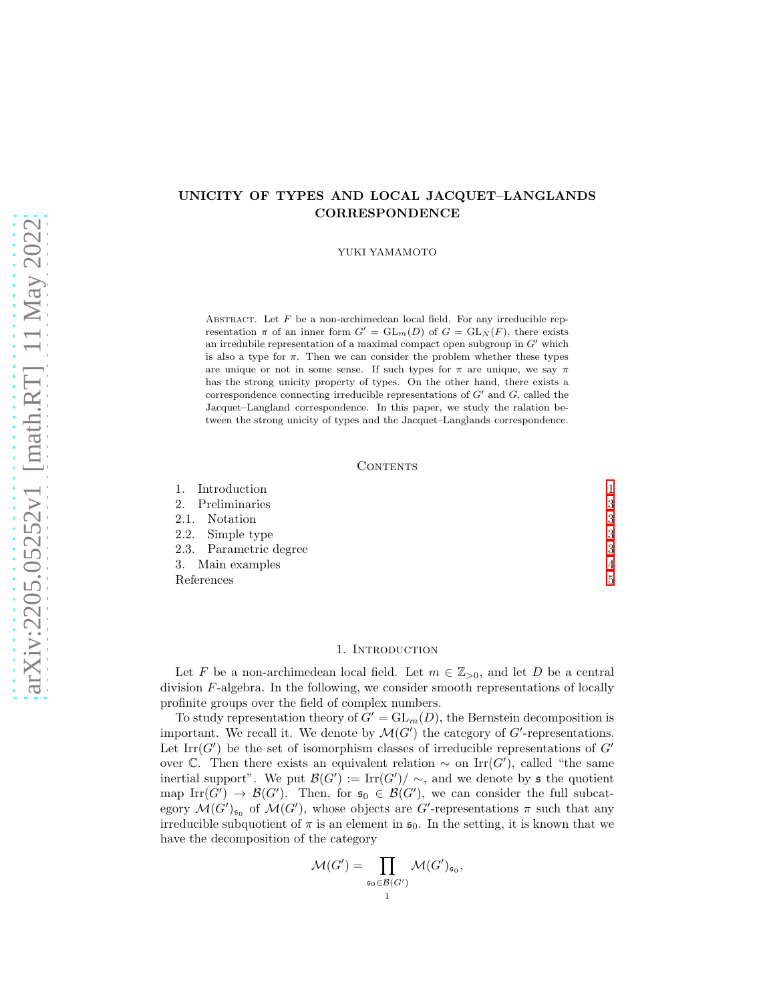# UNICITY OF TYPES AND LOCAL JACQUET–LANGLANDS CORRESPONDENCE

YUKI YAMAMOTO

ABSTRACT. Let  $F$  be a non-archimedean local field. For any irreducible representation  $\pi$  of an inner form  $G' = GL_m(D)$  of  $G = GL_N(F)$ , there exists an irredubile representation of a maximal compact open subgroup in  $G'$  which is also a type for  $\pi$ . Then we can consider the problem whether these types are unique or not in some sense. If such types for  $\pi$  are unique, we say  $\pi$ has the strong unicity property of types. On the other hand, there exists a correspondence connecting irreducible representations of  $G'$  and  $G$ , called the Jacquet–Langland correspondence. In this paper, we study the ralation between the strong unicity of types and the Jacquet–Langlands correspondence.

### CONTENTS

| Introduction<br>1.     |   |
|------------------------|---|
| 2. Preliminaries       | 3 |
| 2.1. Notation          | 3 |
| 2.2. Simple type       | 3 |
| 2.3. Parametric degree | 3 |
| 3. Main examples       | 4 |
| References             | 5 |

### 1. Introduction

<span id="page-0-0"></span>Let F be a non-archimedean local field. Let  $m \in \mathbb{Z}_{>0}$ , and let D be a central division  $F$ -algebra. In the following, we consider smooth representations of locally profinite groups over the field of complex numbers.

To study representation theory of  $G' = GL_m(D)$ , the Bernstein decomposition is important. We recall it. We denote by  $\mathcal{M}(G')$  the category of  $G'$ -representations. Let  $\text{Irr}(G')$  be the set of isomorphism classes of irreducible representations of  $G'$ over  $\mathbb{C}$ . Then there exists an equivalent relation  $\sim$  on Irr(G'), called "the same inertial support". We put  $\mathcal{B}(G') := \text{Irr}(G') / \sim$ , and we denote by s the quotient map Irr(G')  $\rightarrow \mathcal{B}(G')$ . Then, for  $\mathfrak{s}_0 \in \mathcal{B}(G')$ , we can consider the full subcategory  $\mathcal{M}(G')_{\mathfrak{s}_0}$  of  $\mathcal{M}(G')$ , whose objects are G'-representations  $\pi$  such that any irreducible subquotient of  $\pi$  is an element in  $\mathfrak{s}_0$ . In the setting, it is known that we have the decomposition of the category

$$
\mathcal{M}(G') = \prod_{\mathfrak{s}_0 \in \mathcal{B}(G')} \mathcal{M}(G')_{\mathfrak{s}_0},
$$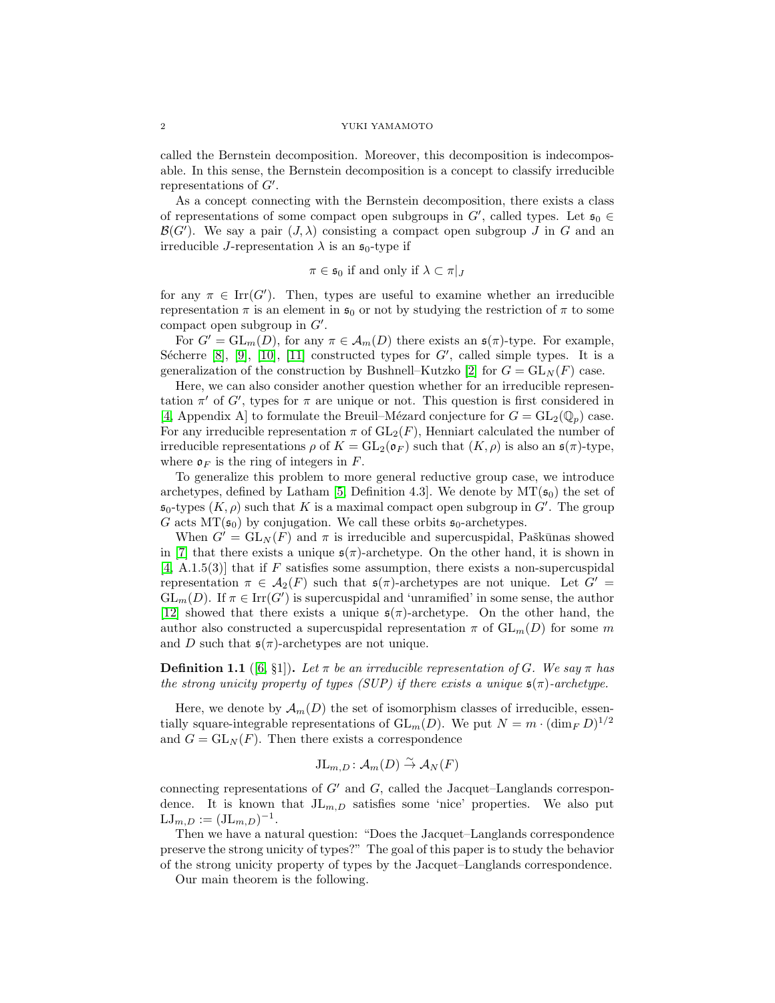#### 2 YUKI YAMAMOTO

called the Bernstein decomposition. Moreover, this decomposition is indecomposable. In this sense, the Bernstein decomposition is a concept to classify irreducible representations of  $G'$ .

As a concept connecting with the Bernstein decomposition, there exists a class of representations of some compact open subgroups in  $G'$ , called types. Let  $\mathfrak{s}_0 \in$  $\mathcal{B}(G')$ . We say a pair  $(J, \lambda)$  consisting a compact open subgroup J in G and an irreducible J-representation  $\lambda$  is an  $\mathfrak{s}_0$ -type if

$$
\pi \in \mathfrak{s}_0 \text{ if and only if } \lambda \subset \pi|_J
$$

for any  $\pi \in \text{Irr}(G')$ . Then, types are useful to examine whether an irreducible representation  $\pi$  is an element in  $\mathfrak{s}_0$  or not by studying the restriction of  $\pi$  to some compact open subgroup in  $G'$ .

For  $G' = GL_m(D)$ , for any  $\pi \in \mathcal{A}_m(D)$  there exists an  $\mathfrak{s}(\pi)$ -type. For example, Sécherre  $[8]$ ,  $[9]$ ,  $[10]$ ,  $[11]$  constructed types for  $G'$ , called simple types. It is a generalization of the construction by Bushnell–Kutzko [\[2\]](#page-4-5) for  $G = GL<sub>N</sub>(F)$  case.

Here, we can also consider another question whether for an irreducible representation  $\pi'$  of G', types for  $\pi$  are unique or not. This question is first considered in [\[4,](#page-4-6) Appendix A] to formulate the Breuil–Mézard conjecture for  $G = GL_2(\mathbb{Q}_n)$  case. For any irreducible representation  $\pi$  of  $GL_2(F)$ , Henniart calculated the number of irreducible representations  $\rho$  of  $K = GL_2(\mathfrak{o}_F)$  such that  $(K, \rho)$  is also an  $\mathfrak{s}(\pi)$ -type, where  $\mathfrak{o}_F$  is the ring of integers in F.

To generalize this problem to more general reductive group case, we introduce archetypes, defined by Latham [\[5,](#page-4-7) Definition 4.3]. We denote by  $MT(\mathfrak{s}_0)$  the set of  $\mathfrak{s}_0$ -types  $(K, \rho)$  such that K is a maximal compact open subgroup in  $G'$ . The group G acts  $MT(\mathfrak{s}_0)$  by conjugation. We call these orbits  $\mathfrak{s}_0$ -archetypes.

When  $G' = GL<sub>N</sub>(F)$  and  $\pi$  is irreducible and supercuspidal, Paškūnas showed in [\[7\]](#page-4-8) that there exists a unique  $\mathfrak{s}(\pi)$ -archetype. On the other hand, it is shown in  $[4, A.1.5(3)]$  $[4, A.1.5(3)]$  that if F satisfies some assumption, there exists a non-supercuspidal representation  $\pi \in \mathcal{A}_2(F)$  such that  $\mathfrak{s}(\pi)$ -archetypes are not unique. Let  $G' =$  $GL_m(D)$ . If  $\pi \in \text{Irr}(G')$  is supercuspidal and 'unramified' in some sense, the author [\[12\]](#page-4-9) showed that there exists a unique  $\mathfrak{s}(\pi)$ -archetype. On the other hand, the author also constructed a supercuspidal representation  $\pi$  of  $GL_m(D)$  for some m and D such that  $\mathfrak{s}(\pi)$ -archetypes are not unique.

**Definition 1.1** ([\[6,](#page-4-10) §1]). Let  $\pi$  be an irreducible representation of G. We say  $\pi$  has the strong unicity property of types (SUP) if there exists a unique  $\mathfrak{s}(\pi)$ -archetype.

Here, we denote by  $\mathcal{A}_m(D)$  the set of isomorphism classes of irreducible, essentially square-integrable representations of  $GL_m(D)$ . We put  $N = m \cdot (\dim_F D)^{1/2}$ and  $G = GL<sub>N</sub>(F)$ . Then there exists a correspondence

$$
\mathrm{JL}_{m,D} \colon \mathcal{A}_m(D) \overset{\sim}{\to} \mathcal{A}_N(F)
$$

connecting representations of  $G'$  and  $G$ , called the Jacquet–Langlands correspondence. It is known that  $JL_{m,D}$  satisfies some 'nice' properties. We also put  $LJ_{m,D} := (JL_{m,D})^{-1}.$ 

Then we have a natural question: "Does the Jacquet–Langlands correspondence preserve the strong unicity of types?" The goal of this paper is to study the behavior of the strong unicity property of types by the Jacquet–Langlands correspondence.

Our main theorem is the following.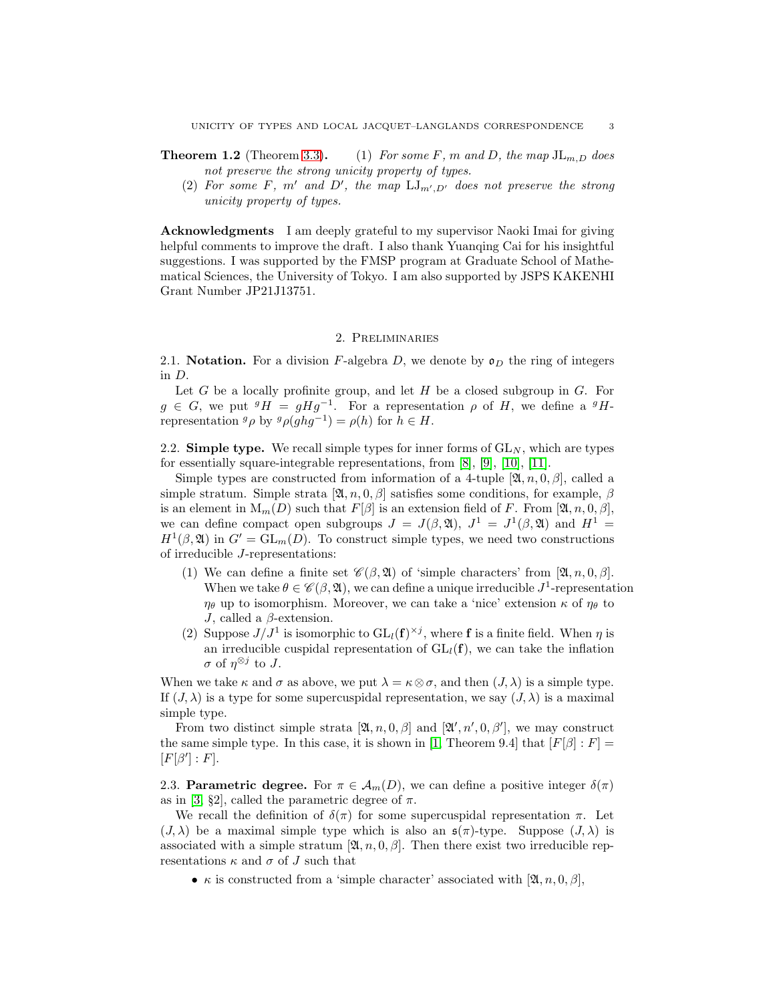- **Theorem 1.2** (Theorem 3.3). (1) For some F, m and D, the map  $JL_{m,D}$  does not preserve the strong unicity property of types.
	- (2) For some F, m' and D', the map  $LJ_{m',D'}$  does not preserve the strong unicity property of types.

Acknowledgments I am deeply grateful to my supervisor Naoki Imai for giving helpful comments to improve the draft. I also thank Yuanqing Cai for his insightful suggestions. I was supported by the FMSP program at Graduate School of Mathematical Sciences, the University of Tokyo. I am also supported by JSPS KAKENHI Grant Number JP21J13751.

#### 2. Preliminaries

<span id="page-2-1"></span><span id="page-2-0"></span>2.1. Notation. For a division F-algebra D, we denote by  $\mathfrak{o}_D$  the ring of integers in D.

Let  $G$  be a locally profinite group, and let  $H$  be a closed subgroup in  $G$ . For  $g \in G$ , we put  $^{g}H = gHg^{-1}$ . For a representation  $\rho$  of H, we define a  $^{g}H$ representation  $g \rho$  by  $g \rho(g h g^{-1}) = \rho(h)$  for  $h \in H$ .

<span id="page-2-2"></span>2.2. Simple type. We recall simple types for inner forms of  $GL_N$ , which are types for essentially square-integrable representations, from [\[8\]](#page-4-1), [\[9\]](#page-4-2), [\[10\]](#page-4-3), [\[11\]](#page-4-4).

Simple types are constructed from information of a 4-tuple  $[\mathfrak{A}, n, 0, \beta]$ , called a simple stratum. Simple strata  $[\mathfrak{A}, n, 0, \beta]$  satisfies some conditions, for example,  $\beta$ is an element in  $M_m(D)$  such that  $F[\beta]$  is an extension field of F. From  $[\mathfrak{A}, n, 0, \beta]$ , we can define compact open subgroups  $J = J(\beta, \mathfrak{A}), J^1 = J^1(\beta, \mathfrak{A})$  and  $H^1 =$  $H^1(\beta, \mathfrak{A})$  in  $G' = GL_m(D)$ . To construct simple types, we need two constructions of irreducible J-representations:

- (1) We can define a finite set  $\mathscr{C}(\beta, \mathfrak{A})$  of 'simple characters' from  $[\mathfrak{A}, n, 0, \beta]$ . When we take  $\theta \in \mathscr{C}(\beta, \mathfrak{A})$ , we can define a unique irreducible  $J^1$ -representation  $\eta_{\theta}$  up to isomorphism. Moreover, we can take a 'nice' extension  $\kappa$  of  $\eta_{\theta}$  to J, called a  $\beta$ -extension.
- (2) Suppose  $J/J^1$  is isomorphic to  $GL_l(\mathbf{f})^{\times j}$ , where **f** is a finite field. When  $\eta$  is an irreducible cuspidal representation of  $GL_l(f)$ , we can take the inflation σ of  $η^{\otimes j}$  to J.

When we take  $\kappa$  and  $\sigma$  as above, we put  $\lambda = \kappa \otimes \sigma$ , and then  $(J, \lambda)$  is a simple type. If  $(J, \lambda)$  is a type for some supercuspidal representation, we say  $(J, \lambda)$  is a maximal simple type.

From two distinct simple strata  $[\mathfrak{A}, n, 0, \beta]$  and  $[\mathfrak{A}', n', 0, \beta']$ , we may construct the same simple type. In this case, it is shown in [\[1,](#page-4-11) Theorem 9.4] that  $[F(\beta]:F] =$  $[F[\beta'] : F].$ 

<span id="page-2-3"></span>2.3. **Parametric degree.** For  $\pi \in A_m(D)$ , we can define a positive integer  $\delta(\pi)$ as in [\[3,](#page-4-12) §2], called the parametric degree of  $\pi$ .

We recall the definition of  $\delta(\pi)$  for some supercuspidal representation  $\pi$ . Let  $(J, \lambda)$  be a maximal simple type which is also an  $\mathfrak{s}(\pi)$ -type. Suppose  $(J, \lambda)$  is associated with a simple stratum  $[\mathfrak{A}, n, 0, \beta]$ . Then there exist two irreducible representations  $\kappa$  and  $\sigma$  of J such that

•  $\kappa$  is constructed from a 'simple character' associated with  $[\mathfrak{A}, n, 0, \beta],$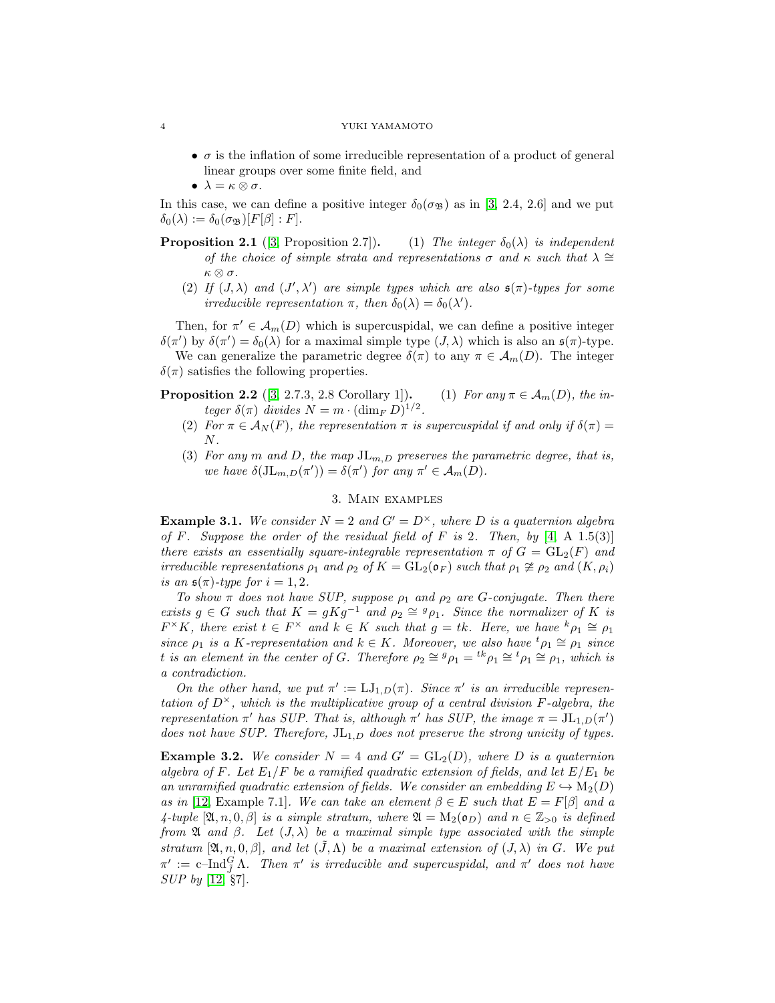#### 4 YUKI YAMAMOTO

- $\bullet$   $\sigma$  is the inflation of some irreducible representation of a product of general linear groups over some finite field, and
- $\lambda = \kappa \otimes \sigma$ .

In this case, we can define a positive integer  $\delta_0(\sigma_{\mathfrak{B}})$  as in [\[3,](#page-4-12) 2.4, 2.6] and we put  $\delta_0(\lambda) := \delta_0(\sigma_{\mathfrak{B}})[F(\beta):F].$ 

- **Proposition 2.1** ([\[3,](#page-4-12) Proposition 2.7]). (1) The integer  $\delta_0(\lambda)$  is independent of the choice of simple strata and representations  $\sigma$  and  $\kappa$  such that  $\lambda \cong$ κ ⊗ σ.
	- (2) If  $(J, \lambda)$  and  $(J', \lambda')$  are simple types which are also  $\mathfrak{s}(\pi)$ -types for some irreducible representation  $\pi$ , then  $\delta_0(\lambda) = \delta_0(\lambda')$ .

Then, for  $\pi' \in \mathcal{A}_m(D)$  which is supercuspidal, we can define a positive integer  $\delta(\pi')$  by  $\delta(\pi') = \delta_0(\lambda)$  for a maximal simple type  $(J, \lambda)$  which is also an  $\mathfrak{s}(\pi)$ -type.

We can generalize the parametric degree  $\delta(\pi)$  to any  $\pi \in A_m(D)$ . The integer  $\delta(\pi)$  satisfies the following properties.

<span id="page-3-3"></span><span id="page-3-1"></span>**Proposition 2.2** ([\[3,](#page-4-12) 2.7.3, 2.8 Corollary 1]). (1) For any  $\pi \in A_m(D)$ , the integer  $\delta(\pi)$  divides  $N = m \cdot (\dim_F D)^{1/2}$ .

- <span id="page-3-2"></span>(2) For  $\pi \in \mathcal{A}_N(F)$ , the representation  $\pi$  is supercuspidal if and only if  $\delta(\pi)$  =  $N$ .
- (3) For any m and D, the map  $J_{m,D}$  preserves the parametric degree, that is, we have  $\delta(\mathrm{JL}_{m,D}(\pi')) = \delta(\pi')$  for any  $\pi' \in \mathcal{A}_m(D)$ .

## 3. Main examples

<span id="page-3-0"></span>**Example 3.1.** We consider  $N = 2$  and  $G' = D^{\times}$ , where D is a quaternion algebra of F. Suppose the order of the residual field of F is 2. Then, by  $[4, A, 1.5(3)]$  $[4, A, 1.5(3)]$ there exists an essentially square-integrable representation  $\pi$  of  $G = GL_2(F)$  and irreducible representations  $\rho_1$  and  $\rho_2$  of  $K = GL_2(\mathfrak{o}_F)$  such that  $\rho_1 \ncong \rho_2$  and  $(K, \rho_i)$ is an  $\mathfrak{s}(\pi)$ -type for  $i = 1, 2$ .

To show  $\pi$  does not have SUP, suppose  $\rho_1$  and  $\rho_2$  are G-conjugate. Then there exists  $g \in G$  such that  $K = gKg^{-1}$  and  $\rho_2 \cong g_{\rho_1}$ . Since the normalizer of K is  $F^{\times}K$ , there exist  $t \in F^{\times}$  and  $k \in K$  such that  $g = tk$ . Here, we have  ${}^{k}\rho_1 \cong \rho_1$ since  $\rho_1$  is a K-representation and  $k \in K$ . Moreover, we also have  ${}^t\rho_1 \cong \rho_1$  since t is an element in the center of G. Therefore  $\rho_2 \cong {}^g \rho_1 = {}^{tk} \rho_1 \cong {}^t \rho_1 \cong \rho_1$ , which is a contradiction.

On the other hand, we put  $\pi' := LJ_{1,D}(\pi)$ . Since  $\pi'$  is an irreducible representation of  $D^{\times}$ , which is the multiplicative group of a central division F-algebra, the representation  $\pi'$  has SUP. That is, although  $\pi'$  has SUP, the image  $\pi = JL_{1,D}(\pi')$ does not have SUP. Therefore,  $J_{L_1,D}$  does not preserve the strong unicity of types.

**Example 3.2.** We consider  $N = 4$  and  $G' = GL_2(D)$ , where D is a quaternion algebra of F. Let  $E_1/F$  be a ramified quadratic extension of fields, and let  $E/E_1$  be an unramified quadratic extension of fields. We consider an embedding  $E \hookrightarrow M_2(D)$ as in [\[12,](#page-4-9) Example 7.1]. We can take an element  $\beta \in E$  such that  $E = F[\beta]$  and a 4-tuple  $[\mathfrak{A}, n, 0, \beta]$  is a simple stratum, where  $\mathfrak{A} = M_2(\mathfrak{o}_D)$  and  $n \in \mathbb{Z}_{>0}$  is defined from  $\mathfrak A$  and  $\beta$ . Let  $(J, \lambda)$  be a maximal simple type associated with the simple stratum [ $\mathfrak{A}, n, 0, \beta$ ], and let  $(\tilde{J}, \Lambda)$  be a maximal extension of  $(J, \lambda)$  in G. We put  $\pi':=c\text{--Ind}_{\bar{J}}^G \Lambda$ . Then  $\pi'$  is irreducible and supercuspidal, and  $\pi'$  does not have SUP by [\[12,](#page-4-9) §7].